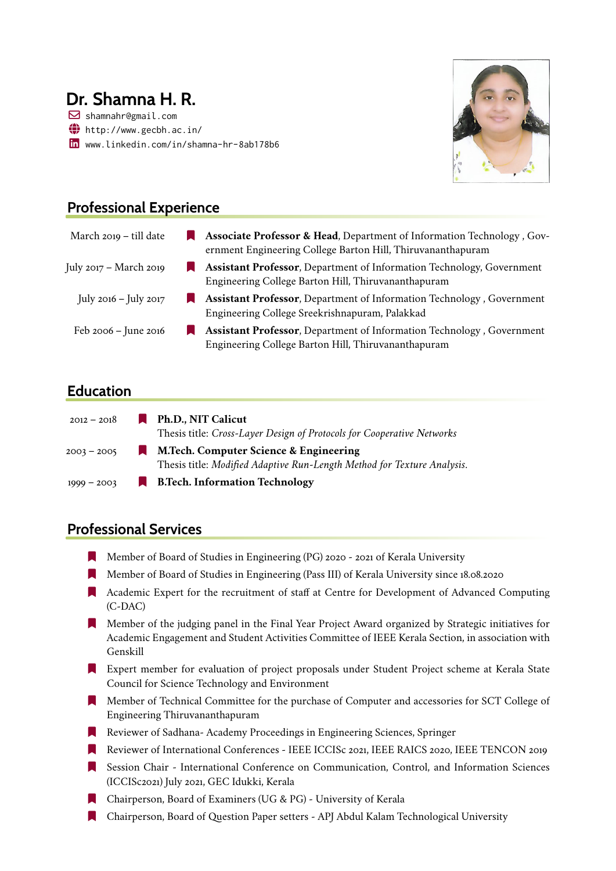# **Dr. Shamna H. R.**

! shamnahr@gmail.com  $\bigoplus$  <http://www.gecbh.ac.in/> in <www.linkedin.com/in/shamna-hr-8ab178b6>



# **Professional Experience**

| March 2019 – till date   | Associate Professor & Head, Department of Information Technology, Gov-<br>ernment Engineering College Barton Hill, Thiruvananthapuram |
|--------------------------|---------------------------------------------------------------------------------------------------------------------------------------|
| July 2017 – March 2019   | <b>Assistant Professor</b> , Department of Information Technology, Government<br>Engineering College Barton Hill, Thiruvananthapuram  |
| July 2016 – July 2017    | Assistant Professor, Department of Information Technology, Government<br>Engineering College Sreekrishnapuram, Palakkad               |
| Feb $2006 -$ June $2016$ | Assistant Professor, Department of Information Technology, Government<br>Engineering College Barton Hill, Thiruvananthapuram          |

### **Education**

| 2012 – 2018   | Ph.D., NIT Calicut                                                      |
|---------------|-------------------------------------------------------------------------|
|               | Thesis title: Cross-Layer Design of Protocols for Cooperative Networks  |
| $2003 - 2005$ | M.Tech. Computer Science & Engineering                                  |
|               | Thesis title: Modified Adaptive Run-Length Method for Texture Analysis. |
| $1999 - 2003$ | <b>B.Tech. Information Technology</b>                                   |

## **Professional Services**

- [ Member of Board of Studies in Engineering (PG) 2020 2021 of Kerala University
- [ Member of Board of Studies in Engineering (Pass III) of Kerala University since 18.08.2020
- **Expert for the recruitment of staff at Centre for Development of Advanced Computing** (C-DAC)
- [ Member of the judging panel in the Final Year Project Award organized by Strategic initiatives for Academic Engagement and Student Activities Committee of IEEE Kerala Section, in association with Genskill
- **Expert member for evaluation of project proposals under Student Project scheme at Kerala State** Council for Science Technology and Environment
- [ Member of Technical Committee for the purchase of Computer and accessories for SCT College of Engineering Thiruvananthapuram
- **Reviewer of Sadhana- Academy Proceedings in Engineering Sciences, Springer**
- Reviewer of International Conferences IEEE ICCISc 2021, IEEE RAICS 2020, IEEE TENCON 2019
- [ Session Chair International Conference on Communication, Control, and Information Sciences (ICCISc2021) July 2021, GEC Idukki, Kerala
- [ Chairperson, Board of Examiners (UG & PG) University of Kerala
- [ Chairperson, Board of Question Paper setters APJ Abdul Kalam Technological University